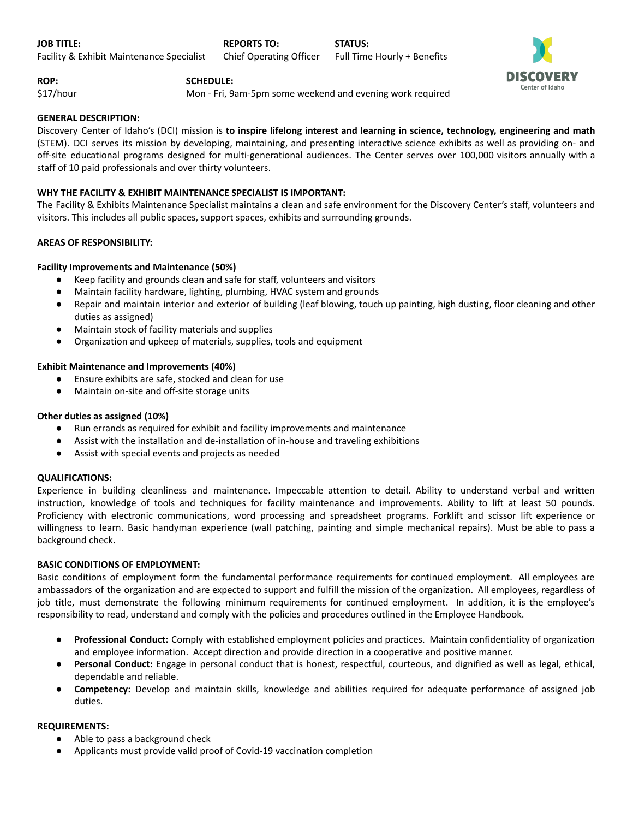

**ROP: SCHEDULE:**

\$17/hour Mon - Fri, 9am-5pm some weekend and evening work required

# **GENERAL DESCRIPTION:**

Discovery Center of Idaho's (DCI) mission is **to inspire lifelong interest and learning in science, technology, engineering and math** (STEM). DCI serves its mission by developing, maintaining, and presenting interactive science exhibits as well as providing on- and off-site educational programs designed for multi-generational audiences. The Center serves over 100,000 visitors annually with a staff of 10 paid professionals and over thirty volunteers.

# **WHY THE FACILITY & EXHIBIT MAINTENANCE SPECIALIST IS IMPORTANT:**

The Facility & Exhibits Maintenance Specialist maintains a clean and safe environment for the Discovery Center's staff, volunteers and visitors. This includes all public spaces, support spaces, exhibits and surrounding grounds.

# **AREAS OF RESPONSIBILITY:**

# **Facility Improvements and Maintenance (50%)**

- Keep facility and grounds clean and safe for staff, volunteers and visitors
- Maintain facility hardware, lighting, plumbing, HVAC system and grounds
- Repair and maintain interior and exterior of building (leaf blowing, touch up painting, high dusting, floor cleaning and other duties as assigned)
- Maintain stock of facility materials and supplies
- Organization and upkeep of materials, supplies, tools and equipment

## **Exhibit Maintenance and Improvements (40%)**

- Ensure exhibits are safe, stocked and clean for use
- Maintain on-site and off-site storage units

## **Other duties as assigned (10%)**

- Run errands as required for exhibit and facility improvements and maintenance
- Assist with the installation and de-installation of in-house and traveling exhibitions
- Assist with special events and projects as needed

## **QUALIFICATIONS:**

Experience in building cleanliness and maintenance. Impeccable attention to detail. Ability to understand verbal and written instruction, knowledge of tools and techniques for facility maintenance and improvements. Ability to lift at least 50 pounds. Proficiency with electronic communications, word processing and spreadsheet programs. Forklift and scissor lift experience or willingness to learn. Basic handyman experience (wall patching, painting and simple mechanical repairs). Must be able to pass a background check.

## **BASIC CONDITIONS OF EMPLOYMENT:**

Basic conditions of employment form the fundamental performance requirements for continued employment. All employees are ambassadors of the organization and are expected to support and fulfill the mission of the organization. All employees, regardless of job title, must demonstrate the following minimum requirements for continued employment. In addition, it is the employee's responsibility to read, understand and comply with the policies and procedures outlined in the Employee Handbook.

- **Professional Conduct:** Comply with established employment policies and practices. Maintain confidentiality of organization and employee information. Accept direction and provide direction in a cooperative and positive manner.
- **Personal Conduct:** Engage in personal conduct that is honest, respectful, courteous, and dignified as well as legal, ethical, dependable and reliable.
- **Competency:** Develop and maintain skills, knowledge and abilities required for adequate performance of assigned job duties.

## **REQUIREMENTS:**

- Able to pass a background check
- Applicants must provide valid proof of Covid-19 vaccination completion